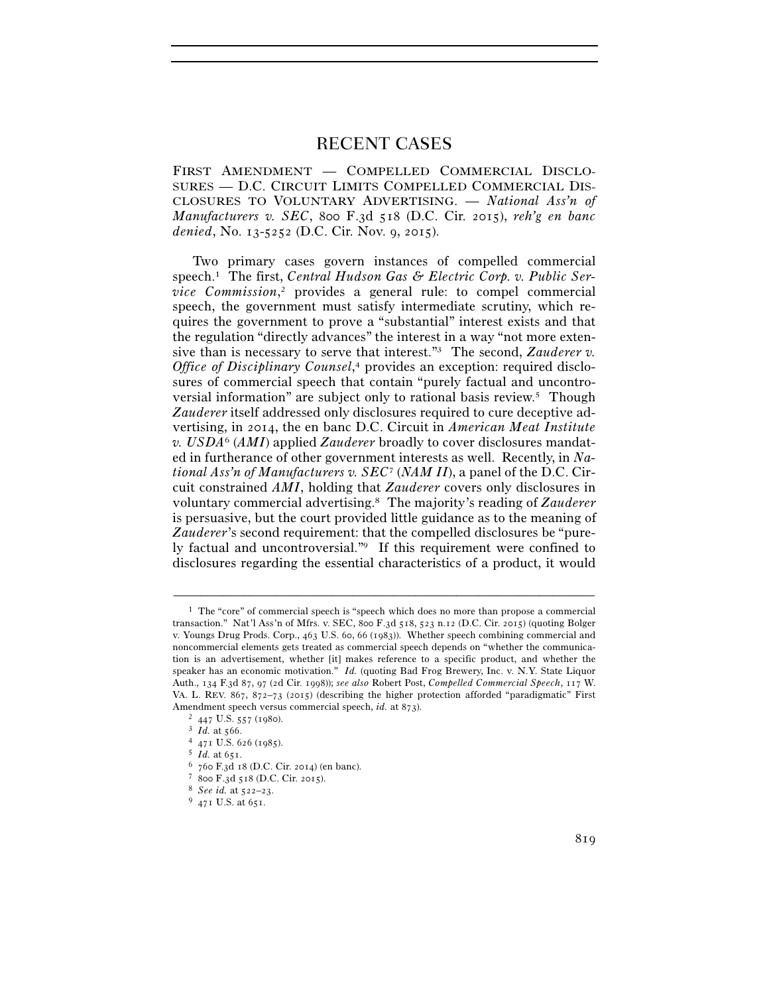# RECENT CASES

FIRST AMENDMENT — COMPELLED COMMERCIAL DISCLO-SURES — D.C. CIRCUIT LIMITS COMPELLED COMMERCIAL DIS-CLOSURES TO VOLUNTARY ADVERTISING. — *National Ass'n of Manufacturers v. SEC*, 800 F.3d 518 (D.C. Cir. 2015), *reh'g en banc denied*, No. 13-5252 (D.C. Cir. Nov. 9, 2015).

Two primary cases govern instances of compelled commercial speech.1 The first, *Central Hudson Gas & Electric Corp. v. Public Service Commission*, 2 provides a general rule: to compel commercial speech, the government must satisfy intermediate scrutiny, which requires the government to prove a "substantial" interest exists and that the regulation "directly advances" the interest in a way "not more extensive than is necessary to serve that interest."<sup>3</sup> The second, *Zauderer v. Office of Disciplinary Counsel*, 4 provides an exception: required disclosures of commercial speech that contain "purely factual and uncontroversial information" are subject only to rational basis review.5 Though *Zauderer* itself addressed only disclosures required to cure deceptive advertising, in 2014, the en banc D.C. Circuit in *American Meat Institute v. USDA*6 (*AMI*) applied *Zauderer* broadly to cover disclosures mandated in furtherance of other government interests as well. Recently, in *National Ass'n of Manufacturers v. SEC*7 (*NAM II*), a panel of the D.C. Circuit constrained *AMI*, holding that *Zauderer* covers only disclosures in voluntary commercial advertising.8 The majority's reading of *Zauderer* is persuasive, but the court provided little guidance as to the meaning of *Zauderer*'s second requirement: that the compelled disclosures be "purely factual and uncontroversial."9 If this requirement were confined to disclosures regarding the essential characteristics of a product, it would

<sup>1</sup> The "core" of commercial speech is "speech which does no more than propose a commercial transaction." Nat'l Ass'n of Mfrs. v. SEC, 800 F.3d 518, 523 n.12 (D.C. Cir. 2015) (quoting Bolger v. Youngs Drug Prods. Corp., 463 U.S. 60, 66 (1983)). Whether speech combining commercial and noncommercial elements gets treated as commercial speech depends on "whether the communication is an advertisement, whether [it] makes reference to a specific product, and whether the speaker has an economic motivation." *Id.* (quoting Bad Frog Brewery, Inc. v. N.Y. State Liquor Auth., 134 F.3d 87, 97 (2d Cir. 1998)); *see also* Robert Post, *Compelled Commercial Speech*, 117 W. VA. L. REV. 867, 872–73 (2015) (describing the higher protection afforded "paradigmatic" First Amendment speech versus commercial speech, *id.* at 873).<br>
<sup>2</sup> 447 U.S. 557 (1980).<br>
<sup>3</sup> *Id.* at 566.<br>
<sup>4</sup> 471 U.S. 626 (1985).<br>
<sup>5</sup> *Id.* at 651.<br>
<sup>6</sup> 760 F.3d 18 (D.C. Cir. 2014) (en banc).<br>
<sup>7</sup> 800 F.3d 518 (D.C. Cir.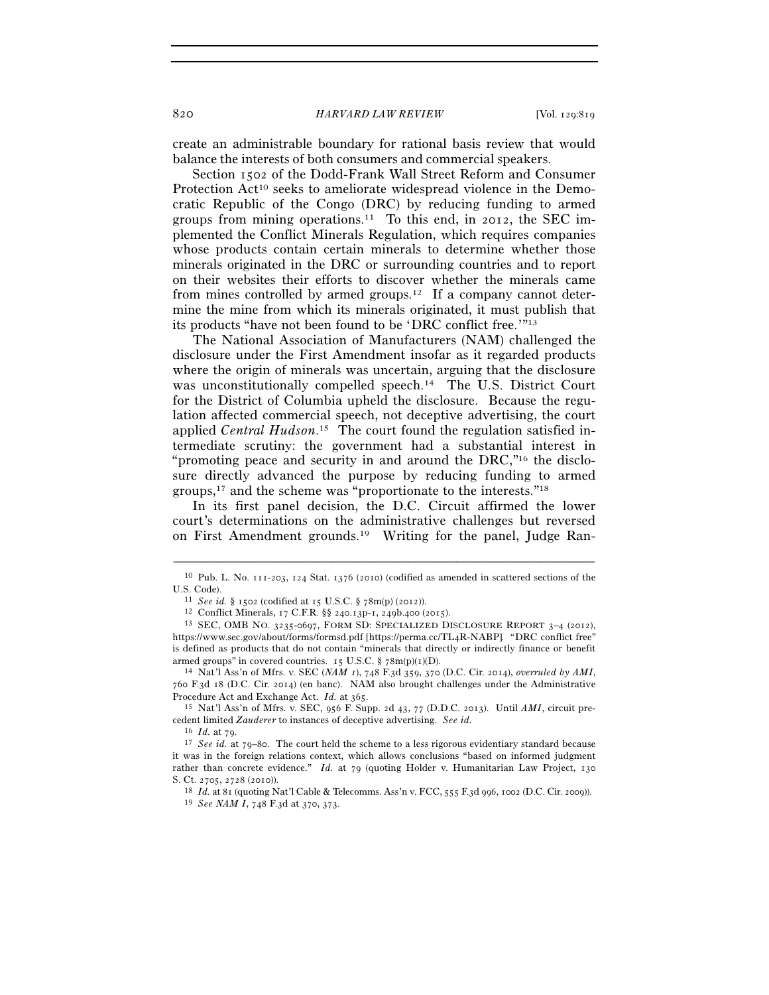create an administrable boundary for rational basis review that would balance the interests of both consumers and commercial speakers.

Section 1502 of the Dodd-Frank Wall Street Reform and Consumer Protection Act<sup>10</sup> seeks to ameliorate widespread violence in the Democratic Republic of the Congo (DRC) by reducing funding to armed groups from mining operations.<sup>11</sup> To this end, in 2012, the SEC implemented the Conflict Minerals Regulation, which requires companies whose products contain certain minerals to determine whether those minerals originated in the DRC or surrounding countries and to report on their websites their efforts to discover whether the minerals came from mines controlled by armed groups.<sup>12</sup> If a company cannot determine the mine from which its minerals originated, it must publish that its products "have not been found to be 'DRC conflict free.'"13

The National Association of Manufacturers (NAM) challenged the disclosure under the First Amendment insofar as it regarded products where the origin of minerals was uncertain, arguing that the disclosure was unconstitutionally compelled speech.<sup>14</sup> The U.S. District Court for the District of Columbia upheld the disclosure. Because the regulation affected commercial speech, not deceptive advertising, the court applied *Central Hudson*. 15 The court found the regulation satisfied intermediate scrutiny: the government had a substantial interest in "promoting peace and security in and around the DRC,"16 the disclosure directly advanced the purpose by reducing funding to armed groups,17 and the scheme was "proportionate to the interests."18

In its first panel decision, the D.C. Circuit affirmed the lower court's determinations on the administrative challenges but reversed on First Amendment grounds.19 Writing for the panel, Judge Ran-

760 F.3d 18 (D.C. Cir. 2014) (en banc). NAM also brought challenges under the Administrative Procedure Act and Exchange Act. *Id.* at 365.<br><sup>15</sup> Nat'l Ass'n of Mfrs. v. SEC, 956 F. Supp. 2d 43, 77 (D.D.C. 2013). Until *AMI*, circuit pre-

cedent limited *Zauderer* to instances of deceptive advertising. *See id.*

<sup>–––––––––––––––––––––––––––––––––––––––––––––––––––––––––––––</sup> 10 Pub. L. No. 111-203, 124 Stat. 1376 (2010) (codified as amended in scattered sections of the U.S. Code).<br>
<sup>11</sup> See id. § 1502 (codified at 15 U.S.C. § 78m(p) (2012)).<br>
<sup>12</sup> Conflict Minerals, 17 C.F.R. §§ 240.13p-1, 249b.400 (2015).<br>
<sup>13</sup> SEC, OMB NO. 3235-0697, FORM SD: SPECIALIZED DISCLOSURE REPORT 3–4 (2012),

https://www.sec.gov/about/forms/formsd.pdf [https://perma.cc/TL4R-NABP]*.* "DRC conflict free" is defined as products that do not contain "minerals that directly or indirectly finance or benefit armed groups" in covered countries. 15 U.S.C. § 78m(p)(1)(D).<br><sup>14</sup> Nat'l Ass'n of Mfrs. v. SEC (*NAM 1*), 748 F.3d 359, 370 (D.C. Cir. 2014), *overruled by AMI*,

<sup>16</sup> *Id.* at 79. 17 *See id.* at 79–80. The court held the scheme to a less rigorous evidentiary standard because it was in the foreign relations context, which allows conclusions "based on informed judgment rather than concrete evidence." *Id.* at 79 (quoting Holder v. Humanitarian Law Project, 130

S. Ct. 2705, 2728 (2010)). 18 *Id.* at 81 (quoting Nat'l Cable & Telecomms. Ass'n v. FCC, 555 F.3d 996, 1002 (D.C. Cir. 2009)). 19 *See NAM I*, 748 F.3d at 370, 373.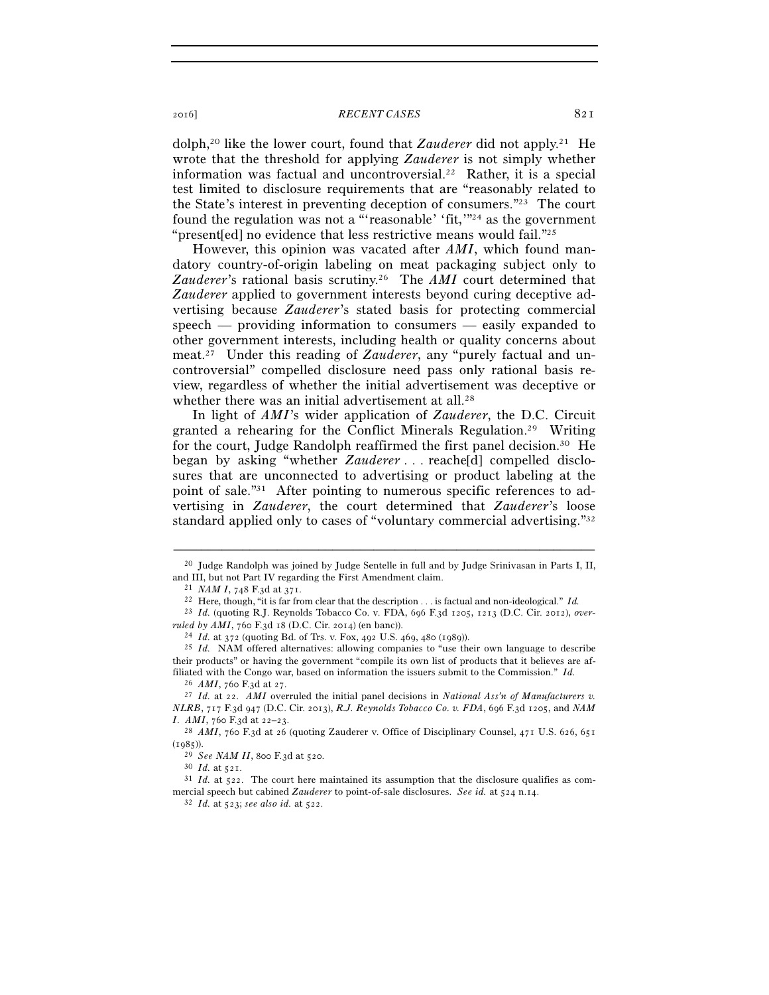## 2016] *RECENT CASES* 821

dolph,20 like the lower court, found that *Zauderer* did not apply.21 He wrote that the threshold for applying *Zauderer* is not simply whether information was factual and uncontroversial.<sup>22</sup> Rather, it is a special test limited to disclosure requirements that are "reasonably related to the State's interest in preventing deception of consumers."23 The court found the regulation was not a "'reasonable' 'fit,"<sup>24</sup> as the government "present[ed] no evidence that less restrictive means would fail."25

However, this opinion was vacated after *AMI*, which found mandatory country-of-origin labeling on meat packaging subject only to *Zauderer*'s rational basis scrutiny.26 The *AMI* court determined that *Zauderer* applied to government interests beyond curing deceptive advertising because *Zauderer*'s stated basis for protecting commercial speech — providing information to consumers — easily expanded to other government interests, including health or quality concerns about meat.27 Under this reading of *Zauderer*, any "purely factual and uncontroversial" compelled disclosure need pass only rational basis review, regardless of whether the initial advertisement was deceptive or whether there was an initial advertisement at all.<sup>28</sup>

In light of *AMI*'s wider application of *Zauderer*, the D.C. Circuit granted a rehearing for the Conflict Minerals Regulation.29 Writing for the court, Judge Randolph reaffirmed the first panel decision.30 He began by asking "whether *Zauderer* . . . reache[d] compelled disclosures that are unconnected to advertising or product labeling at the point of sale."31 After pointing to numerous specific references to advertising in *Zauderer*, the court determined that *Zauderer*'s loose standard applied only to cases of "voluntary commercial advertising."32

<sup>–––––––––––––––––––––––––––––––––––––––––––––––––––––––––––––</sup>  $^{20}$  Judge Randolph was joined by Judge Sentelle in full and by Judge Srinivasan in Parts I, II, and III, but not Part IV regarding the First Amendment claim.<br><sup>21</sup> *NAM I*, 748 F.3d at 371.<br><sup>22</sup> Here, though, "it is far from clear that the description . . . is factual and non-ideological." *Id.* 

<sup>23</sup> *Id.* (quoting R.J. Reynolds Tobacco Co. v. FDA, 696 F.3d 1205, 1213 (D.C. Cir. 2012), *overruled by AMI*, 760 F.3d 18 (D.C. Cir. 2014) (en banc)).<br><sup>24</sup> *Id.* at 372 (quoting Bd. of Trs. v. Fox, 492 U.S. 469, 480 (1989)).<br><sup>25</sup> *Id.* NAM offered alternatives: allowing companies to "use their own language to desc

their products" or having the government "compile its own list of products that it believes are affiliated with the Congo war, based on information the issuers submit to the Commission." *Id.*

<sup>26</sup> *AMI*, 760 F.3d at 27. 27 *Id.* at 22. *AMI* overruled the initial panel decisions in *National Ass'n of Manufacturers v. NLRB*, 717 F.3d 947 (D.C. Cir. 2013), *R.J. Reynolds Tobacco Co. v. FDA*, 696 F.3d 1205, and *NAM I*. *AMI*, 760 F.3d at 22–23.<br><sup>28</sup> *AMI*, 760 F.3d at 26 (quoting Zauderer v. Office of Disciplinary Counsel, 471 U.S. 626, 651

<sup>(1985)).&</sup>lt;br><sup>29</sup> *See NAM II*, 800 F.3d at 520.<br><sup>30</sup> *Id.* at 521.<br><sup>31</sup> *Id.* at 522. The court here maintained its assumption that the disclosure qualifies as com-

mercial speech but cabined *Zauderer* to point-of-sale disclosures. *See id.* at 524 n.14. 32 *Id.* at 523; *see also id.* at 522.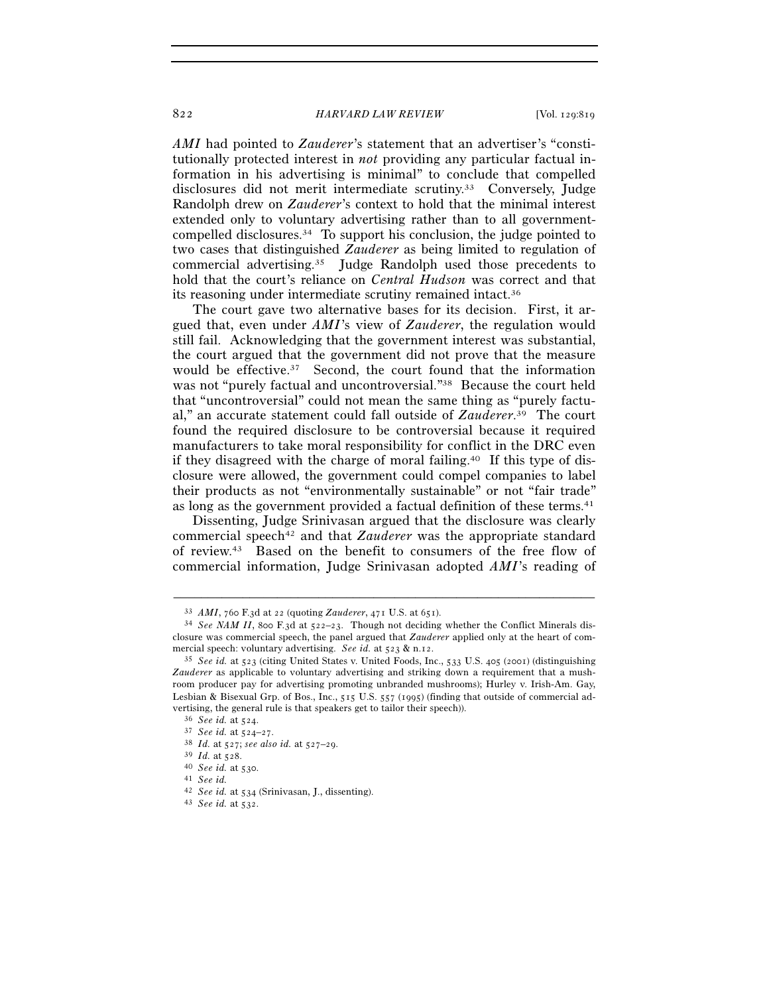#### 822 *HARVARD LAW REVIEW* [Vol. 129:819]

*AMI* had pointed to *Zauderer*'s statement that an advertiser's "constitutionally protected interest in *not* providing any particular factual information in his advertising is minimal" to conclude that compelled disclosures did not merit intermediate scrutiny.33 Conversely, Judge Randolph drew on *Zauderer*'s context to hold that the minimal interest extended only to voluntary advertising rather than to all governmentcompelled disclosures.34 To support his conclusion, the judge pointed to two cases that distinguished *Zauderer* as being limited to regulation of commercial advertising.35 Judge Randolph used those precedents to hold that the court's reliance on *Central Hudson* was correct and that its reasoning under intermediate scrutiny remained intact.36

The court gave two alternative bases for its decision. First, it argued that, even under *AMI*'s view of *Zauderer*, the regulation would still fail. Acknowledging that the government interest was substantial, the court argued that the government did not prove that the measure would be effective.<sup>37</sup> Second, the court found that the information was not "purely factual and uncontroversial."38 Because the court held that "uncontroversial" could not mean the same thing as "purely factual," an accurate statement could fall outside of *Zauderer*. 39 The court found the required disclosure to be controversial because it required manufacturers to take moral responsibility for conflict in the DRC even if they disagreed with the charge of moral failing.<sup>40</sup> If this type of disclosure were allowed, the government could compel companies to label their products as not "environmentally sustainable" or not "fair trade" as long as the government provided a factual definition of these terms.<sup>41</sup>

Dissenting, Judge Srinivasan argued that the disclosure was clearly commercial speech<sup>42</sup> and that *Zauderer* was the appropriate standard of review.43 Based on the benefit to consumers of the free flow of commercial information, Judge Srinivasan adopted *AMI*'s reading of

<sup>33</sup> *AMI*, 760 F.3d at 22 (quoting *Zauderer*, 471 U.S. at 651). 34 *See NAM II*, 800 F.3d at 522–23. Though not deciding whether the Conflict Minerals disclosure was commercial speech, the panel argued that *Zauderer* applied only at the heart of commercial speech: voluntary advertising. *See id.* at 523 & n.12. 35 *See id.* at 523 (citing United States v. United Foods, Inc., 533 U.S. 405 (2001) (distinguishing

*Zauderer* as applicable to voluntary advertising and striking down a requirement that a mushroom producer pay for advertising promoting unbranded mushrooms); Hurley v. Irish-Am. Gay, Lesbian & Bisexual Grp. of Bos., Inc., 515 U.S. 557 (1995) (finding that outside of commercial advertising, the general rule is that speakers get to tailor their speech)).<br>
<sup>36</sup> See id. at 524.<br>
<sup>37</sup> See id. at 524-27.<br>
<sup>38</sup> Id. at 527; see also id. at 527-29.<br>
<sup>39</sup> Id. at 528.<br>
<sup>40</sup> See id. at 530.<br>
<sup>41</sup> See id.

<sup>42</sup> *See id.* at 534 (Srinivasan, J., dissenting). 43 *See id.* at 532.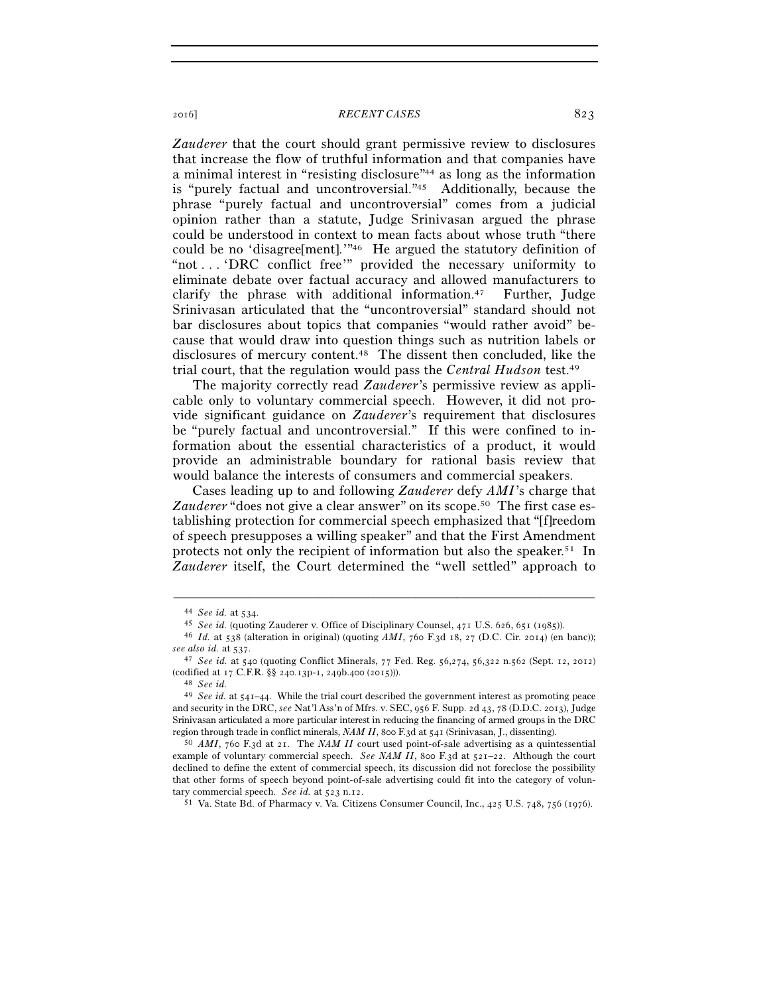## 2016] *RECENT CASES* 823

*Zauderer* that the court should grant permissive review to disclosures that increase the flow of truthful information and that companies have a minimal interest in "resisting disclosure"44 as long as the information is "purely factual and uncontroversial."45 Additionally, because the phrase "purely factual and uncontroversial" comes from a judicial opinion rather than a statute, Judge Srinivasan argued the phrase could be understood in context to mean facts about whose truth "there could be no 'disagree[ment].'"46 He argued the statutory definition of "not . . . 'DRC conflict free'" provided the necessary uniformity to eliminate debate over factual accuracy and allowed manufacturers to clarify the phrase with additional information.<sup>47</sup> Further, Judge Srinivasan articulated that the "uncontroversial" standard should not bar disclosures about topics that companies "would rather avoid" because that would draw into question things such as nutrition labels or disclosures of mercury content.48 The dissent then concluded, like the trial court, that the regulation would pass the *Central Hudson* test.49

The majority correctly read *Zauderer*'s permissive review as applicable only to voluntary commercial speech. However, it did not provide significant guidance on *Zauderer*'s requirement that disclosures be "purely factual and uncontroversial." If this were confined to information about the essential characteristics of a product, it would provide an administrable boundary for rational basis review that would balance the interests of consumers and commercial speakers.

Cases leading up to and following *Zauderer* defy *AMI*'s charge that Zauderer "does not give a clear answer" on its scope.<sup>50</sup> The first case establishing protection for commercial speech emphasized that "[f]reedom of speech presupposes a willing speaker" and that the First Amendment protects not only the recipient of information but also the speaker.<sup>51</sup> In *Zauderer* itself, the Court determined the "well settled" approach to

<sup>&</sup>lt;sup>44</sup> See id. at 534.<br><sup>45</sup> See id. (quoting Zauderer v. Office of Disciplinary Counsel, 471 U.S. 626, 651 (1985)).<br><sup>46</sup> Id. at 538 (alteration in original) (quoting AMI, 760 F.3d 18, 27 (D.C. Cir. 2014) (en banc));

*see also id.* at 537. 47 *See id.* at 540 (quoting Conflict Minerals, 77 Fed. Reg. 56,274, 56,322 n.562 (Sept. 12, 2012)

<sup>(</sup>codified at 17 C.F.R. §§ 240.13p-1, 249b.400 (2015))). 48 *See id.*

<sup>49</sup> *See id.* at 541–44. While the trial court described the government interest as promoting peace and security in the DRC, *see* Nat'l Ass'n of Mfrs. v. SEC, 956 F. Supp. 2d 43, 78 (D.D.C. 2013), Judge Srinivasan articulated a more particular interest in reducing the financing of armed groups in the DRC region through trade in conflict minerals, *NAM II*, 800 F.3d at 541 (Srinivasan, J., dissenting). 50 *AMI*, 760 F.3d at 21. The *NAM II* court used point-of-sale advertising as a quintessential

example of voluntary commercial speech. *See NAM II*, 800 F.3d at  $52I-22$ . Although the court declined to define the extent of commercial speech, its discussion did not foreclose the possibility that other forms of speech beyond point-of-sale advertising could fit into the category of voluntary commercial speech. *See id.* at 523 n.12. 51 Va. State Bd. of Pharmacy v. Va. Citizens Consumer Council, Inc., 425 U.S. 748, 756 (1976).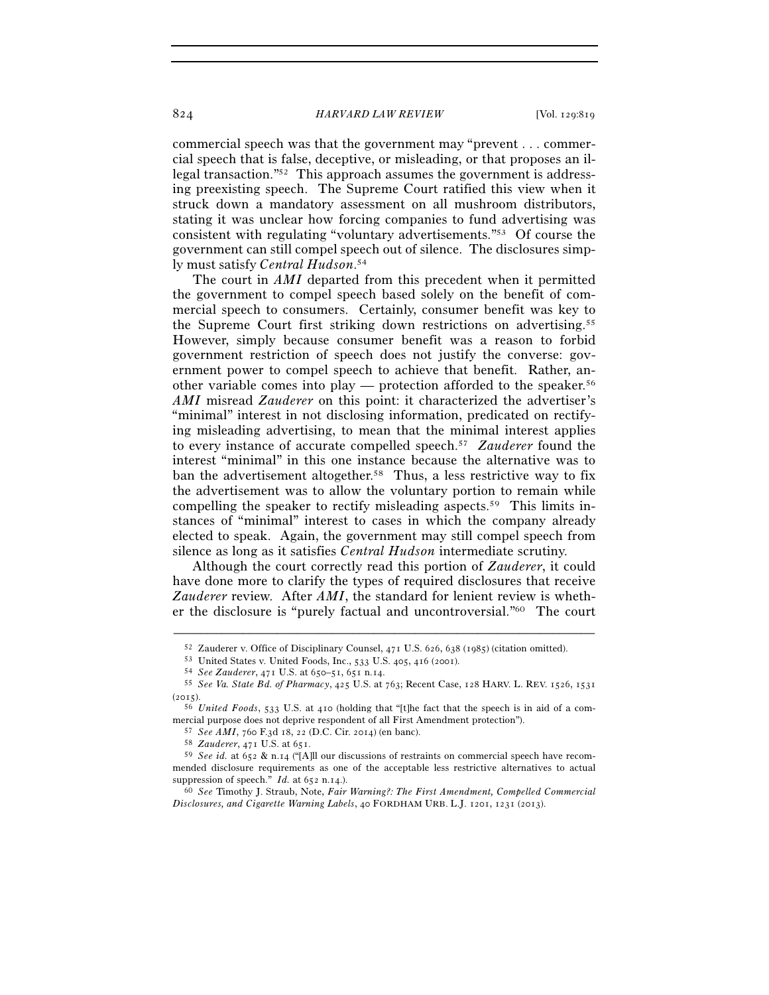#### 824 *HARVARD LAW REVIEW* [Vol. 129:819

commercial speech was that the government may "prevent . . . commercial speech that is false, deceptive, or misleading, or that proposes an illegal transaction."52 This approach assumes the government is addressing preexisting speech. The Supreme Court ratified this view when it struck down a mandatory assessment on all mushroom distributors, stating it was unclear how forcing companies to fund advertising was consistent with regulating "voluntary advertisements."53 Of course the government can still compel speech out of silence. The disclosures simply must satisfy *Central Hudson*. 54

The court in *AMI* departed from this precedent when it permitted the government to compel speech based solely on the benefit of commercial speech to consumers. Certainly, consumer benefit was key to the Supreme Court first striking down restrictions on advertising.55 However, simply because consumer benefit was a reason to forbid government restriction of speech does not justify the converse: government power to compel speech to achieve that benefit. Rather, another variable comes into play — protection afforded to the speaker.56 *AMI* misread *Zauderer* on this point: it characterized the advertiser's "minimal" interest in not disclosing information, predicated on rectifying misleading advertising, to mean that the minimal interest applies to every instance of accurate compelled speech.57 *Zauderer* found the interest "minimal" in this one instance because the alternative was to ban the advertisement altogether.58 Thus, a less restrictive way to fix the advertisement was to allow the voluntary portion to remain while compelling the speaker to rectify misleading aspects.59 This limits instances of "minimal" interest to cases in which the company already elected to speak. Again, the government may still compel speech from silence as long as it satisfies *Central Hudson* intermediate scrutiny.

Although the court correctly read this portion of *Zauderer*, it could have done more to clarify the types of required disclosures that receive *Zauderer* review. After *AMI*, the standard for lenient review is whether the disclosure is "purely factual and uncontroversial."60 The court

<sup>52</sup> Zauderer v. Office of Disciplinary Counsel,  $471$  U.S.  $626$ ,  $638$  ( $1985$ ) (citation omitted).<br>53 United States v. United Foods, Inc., 533 U.S.  $405$ ,  $416$  ( $2001$ ).<br>54 See Zauderer,  $471$  U.S. at  $650-51$ ,  $651$  n. (2015). 56 *United Foods*, 533 U.S. at 410 (holding that "[t]he fact that the speech is in aid of a com-

mercial purpose does not deprive respondent of all First Amendment protection").<br>
<sup>57</sup> See AMI, 760 F.3d 18, 22 (D.C. Cir. 2014) (en banc).<br>
<sup>58</sup> Zauderer, 471 U.S. at 651.<br>
<sup>59</sup> See id. at 652 & n.14 ("[A]ll our discussi

mended disclosure requirements as one of the acceptable less restrictive alternatives to actual suppression of speech."  $Id$ . at 652 n.14.).

suppression of speech." *Id.* at 652 n.14.). 60 *See* Timothy J. Straub, Note, *Fair Warning?: The First Amendment, Compelled Commercial Disclosures, and Cigarette Warning Labels*, 40 FORDHAM URB. L.J. 1201, 1231 (2013).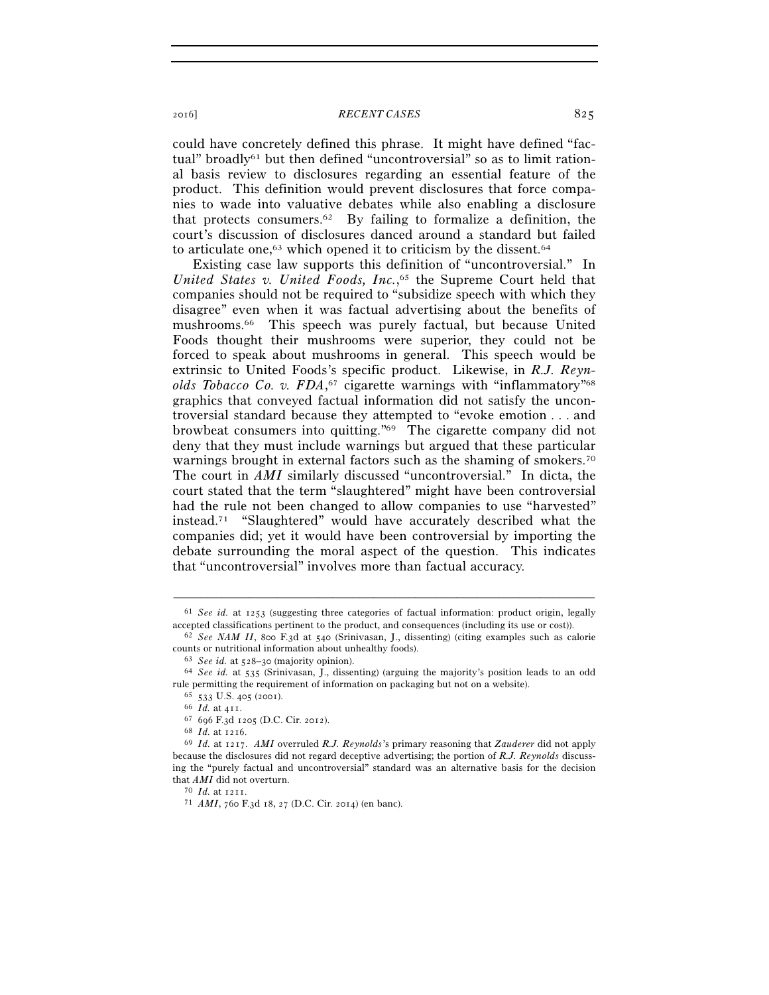## 2016] **RECENT CASES** 825

could have concretely defined this phrase. It might have defined "factual" broadly<sup>61</sup> but then defined "uncontroversial" so as to limit rational basis review to disclosures regarding an essential feature of the product. This definition would prevent disclosures that force companies to wade into valuative debates while also enabling a disclosure that protects consumers.<sup>62</sup> By failing to formalize a definition, the court's discussion of disclosures danced around a standard but failed to articulate one, $63$  which opened it to criticism by the dissent. $64$ 

Existing case law supports this definition of "uncontroversial." In *United States v. United Foods, Inc.*, 65 the Supreme Court held that companies should not be required to "subsidize speech with which they disagree" even when it was factual advertising about the benefits of mushrooms.66 This speech was purely factual, but because United Foods thought their mushrooms were superior, they could not be forced to speak about mushrooms in general. This speech would be extrinsic to United Foods's specific product. Likewise, in *R.J. Reynolds Tobacco Co. v. FDA*, 67 cigarette warnings with "inflammatory"68 graphics that conveyed factual information did not satisfy the uncontroversial standard because they attempted to "evoke emotion . . . and browbeat consumers into quitting."69 The cigarette company did not deny that they must include warnings but argued that these particular warnings brought in external factors such as the shaming of smokers.<sup>70</sup> The court in *AMI* similarly discussed "uncontroversial." In dicta, the court stated that the term "slaughtered" might have been controversial had the rule not been changed to allow companies to use "harvested" instead.71 "Slaughtered" would have accurately described what the companies did; yet it would have been controversial by importing the debate surrounding the moral aspect of the question. This indicates that "uncontroversial" involves more than factual accuracy.

<sup>–––––––––––––––––––––––––––––––––––––––––––––––––––––––––––––</sup> 61 *See id.* at 1253 (suggesting three categories of factual information: product origin, legally accepted classifications pertinent to the product, and consequences (including its use or cost)). 62 *See NAM II*, 800 F.3d at 540 (Srinivasan, J., dissenting) (citing examples such as calorie

counts or nutritional information about unhealthy foods). 63 *See id.* at 528–30 (majority opinion). 64 *See id.* at 535 (Srinivasan, J., dissenting) (arguing the majority's position leads to an odd

rule permitting the requirement of information on packaging but not on a website).<br>  $^{65}$  533 U.S. 405 (2001).<br>  $^{66}$  *Id.* at 411.<br>  $^{67}$  696 F.3d 1205 (D.C. Cir. 2012).<br>  $^{68}$  *Id.* at 1216.<br>  $^{69}$  *Id.* at 1217.

because the disclosures did not regard deceptive advertising; the portion of *R.J. Reynolds* discussing the "purely factual and uncontroversial" standard was an alternative basis for the decision that  $AMI$  did not overturn.

<sup>70</sup> *Id.* at 1211.<br><sup>71</sup> *AMI*, 760 F.3d 18, 27 (D.C. Cir. 2014) (en banc).